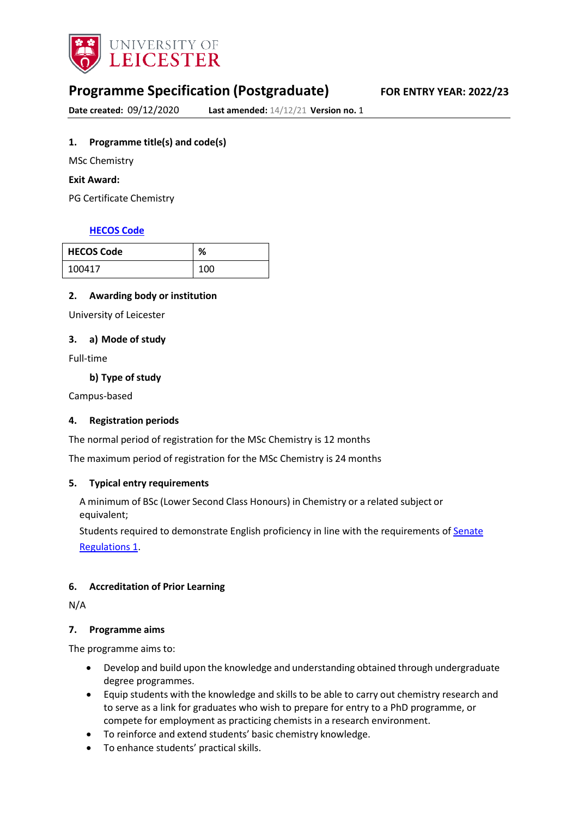

# **Programme Specification (Postgraduate) FOR ENTRY YEAR: 2022/23**

**Date created:** 09/12/2020 **Last amended:** 14/12/21 **Version no.** 1

## <span id="page-0-0"></span>**1. Programme title(s) and code(s)**

MSc Chemistry

**Exit Award:**

PG Certificate Chemistry

## **[HECOS](https://www.hesa.ac.uk/innovation/hecos) Code**

| <b>HECOS Code</b> | %   |
|-------------------|-----|
| 100417            | 100 |

## **2. Awarding body or institution**

University of Leicester

#### **3. a) Mode of study**

Full-time

**b) Type of study**

Campus-based

## **4. Registration periods**

The normal period of registration for the MSc Chemistry is 12 months

The maximum period of registration for the MSc Chemistry is 24 months

## **5. Typical entry requirements**

A minimum of BSc (Lower Second Class Honours) in Chemistry or a related subject or equivalent;

Students required to demonstrate English proficiency in line with the requirements of [Senate](https://www2.le.ac.uk/offices/sas2/regulations/senate-regulations) [Regulations](https://www2.le.ac.uk/offices/sas2/regulations/senate-regulations) 1.

## **6. Accreditation of Prior Learning**

N/A

#### **7. Programme aims**

The programme aims to:

- Develop and build upon the knowledge and understanding obtained through undergraduate degree programmes.
- Equip students with the knowledge and skills to be able to carry out chemistry research and to serve as a link for graduates who wish to prepare for entry to a PhD programme, or compete for employment as practicing chemists in a research environment.
- To reinforce and extend students' basic chemistry knowledge.
- To enhance students' practical skills.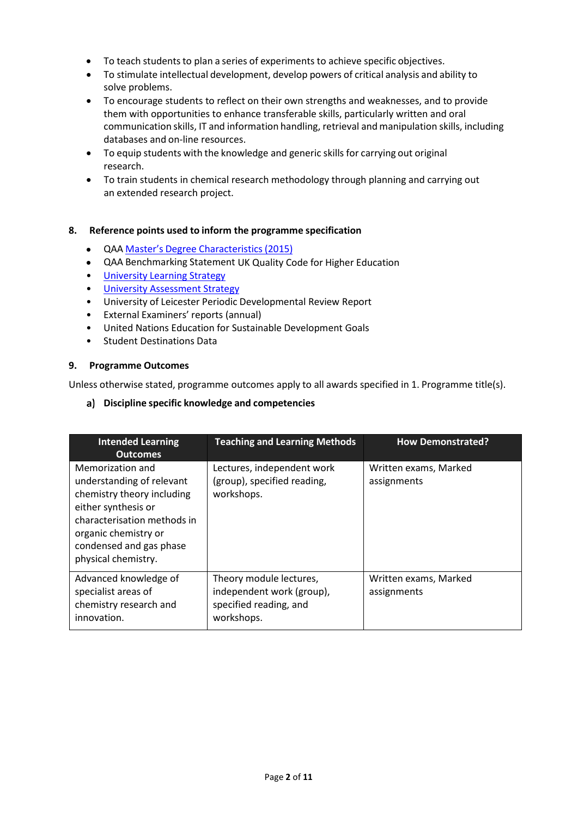- To teach students to plan a series of experiments to achieve specific objectives.
- To stimulate intellectual development, develop powers of critical analysis and ability to solve problems.
- To encourage students to reflect on their own strengths and weaknesses, and to provide them with opportunities to enhance transferable skills, particularly written and oral communication skills, IT and information handling, retrieval and manipulation skills, including databases and on-line resources.
- To equip students with the knowledge and generic skills for carrying out original research.
- To train students in chemical research methodology through planning and carrying out an extended research project.

## **8. Reference points used to inform the programme specification**

- QAA Master's Degree [Characteristics](https://www.qaa.ac.uk/docs/qaa/quality-code/master%27s-degree-characteristics-statement.pdf?sfvrsn=6ca2f981_10) (2015)
- QAA Benchmarking Statement UK Quality Code for Higher Education
- [University](https://www2.le.ac.uk/offices/sas2/quality/learnteach) Learning Strategy
- [University Assessment Strategy](https://www2.le.ac.uk/offices/sas2/quality/learnteach)
- University of Leicester Periodic Developmental Review Report
- External Examiners' reports (annual)
- United Nations Education for Sustainable Development Goals
- Student Destinations Data

## **9. Programme Outcomes**

Unless otherwise stated, programme outcomes apply to all awards specified in [1.](#page-0-0) Programme title(s).

## **Discipline specific knowledge and competencies**

| <b>Intended Learning</b><br><b>Outcomes</b>                                                                                                                                                                 | <b>Teaching and Learning Methods</b>                                                         | <b>How Demonstrated?</b>             |
|-------------------------------------------------------------------------------------------------------------------------------------------------------------------------------------------------------------|----------------------------------------------------------------------------------------------|--------------------------------------|
| Memorization and<br>understanding of relevant<br>chemistry theory including<br>either synthesis or<br>characterisation methods in<br>organic chemistry or<br>condensed and gas phase<br>physical chemistry. | Lectures, independent work<br>(group), specified reading,<br>workshops.                      | Written exams, Marked<br>assignments |
| Advanced knowledge of<br>specialist areas of<br>chemistry research and<br>innovation.                                                                                                                       | Theory module lectures,<br>independent work (group),<br>specified reading, and<br>workshops. | Written exams, Marked<br>assignments |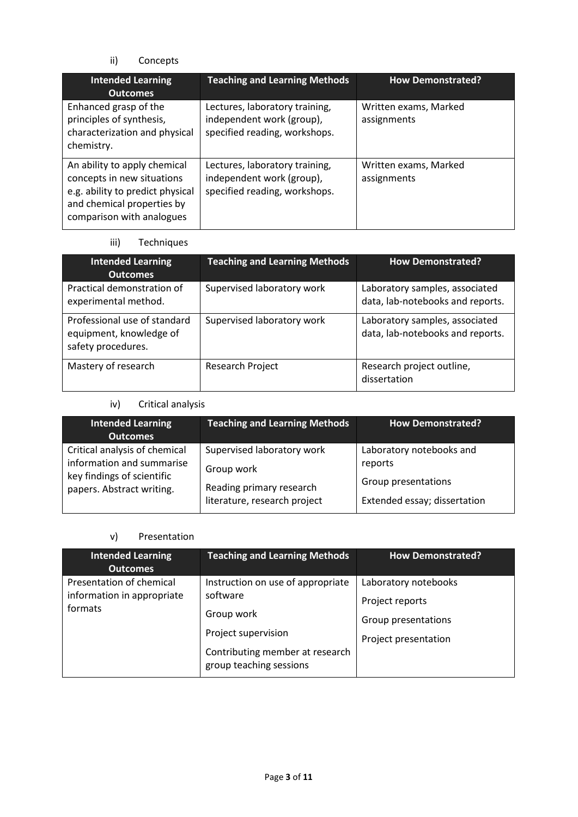ii) Concepts

| <b>Intended Learning</b><br><b>Outcomes</b>                                                                                                               | <b>Teaching and Learning Methods</b>                                                         | <b>How Demonstrated?</b>             |
|-----------------------------------------------------------------------------------------------------------------------------------------------------------|----------------------------------------------------------------------------------------------|--------------------------------------|
| Enhanced grasp of the<br>principles of synthesis,<br>characterization and physical<br>chemistry.                                                          | Lectures, laboratory training,<br>independent work (group),<br>specified reading, workshops. | Written exams, Marked<br>assignments |
| An ability to apply chemical<br>concepts in new situations<br>e.g. ability to predict physical<br>and chemical properties by<br>comparison with analogues | Lectures, laboratory training,<br>independent work (group),<br>specified reading, workshops. | Written exams, Marked<br>assignments |

iii) Techniques

| <b>Intended Learning</b><br><b>Outcomes</b>                                   | <b>Teaching and Learning Methods</b> | <b>How Demonstrated?</b>                                           |
|-------------------------------------------------------------------------------|--------------------------------------|--------------------------------------------------------------------|
| Practical demonstration of<br>experimental method.                            | Supervised laboratory work           | Laboratory samples, associated<br>data, lab-notebooks and reports. |
| Professional use of standard<br>equipment, knowledge of<br>safety procedures. | Supervised laboratory work           | Laboratory samples, associated<br>data, lab-notebooks and reports. |
| Mastery of research                                                           | Research Project                     | Research project outline,<br>dissertation                          |

iv) Critical analysis

| <b>Intended Learning</b><br><b>Outcomes</b> | <b>Teaching and Learning Methods</b> | <b>How Demonstrated?</b>     |
|---------------------------------------------|--------------------------------------|------------------------------|
| Critical analysis of chemical               | Supervised laboratory work           | Laboratory notebooks and     |
| information and summarise                   | Group work                           | reports                      |
| key findings of scientific                  | Reading primary research             | Group presentations          |
| papers. Abstract writing.                   | literature, research project         | Extended essay; dissertation |

v) Presentation

| <b>Intended Learning</b><br><b>Outcomes</b>                       | <b>Teaching and Learning Methods</b>                                                                                                             | <b>How Demonstrated?</b>                                                               |
|-------------------------------------------------------------------|--------------------------------------------------------------------------------------------------------------------------------------------------|----------------------------------------------------------------------------------------|
| Presentation of chemical<br>information in appropriate<br>formats | Instruction on use of appropriate<br>software<br>Group work<br>Project supervision<br>Contributing member at research<br>group teaching sessions | Laboratory notebooks<br>Project reports<br>Group presentations<br>Project presentation |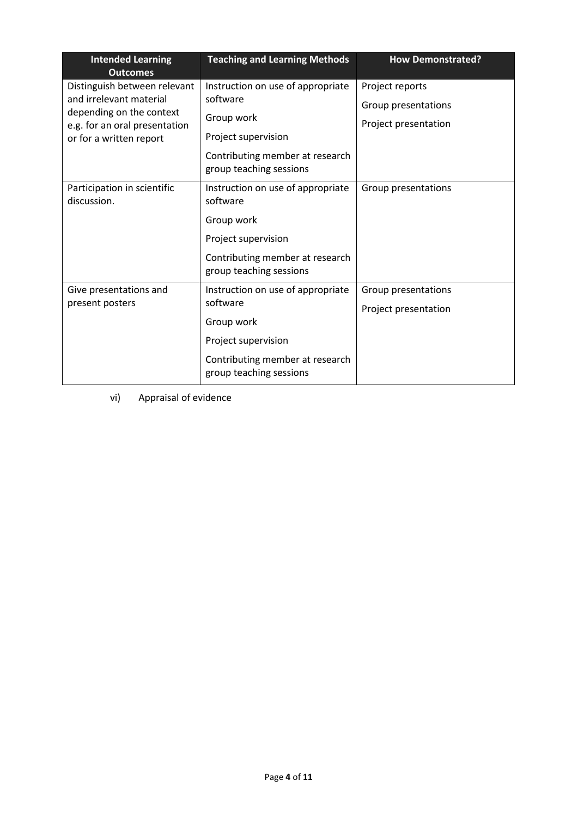| <b>Intended Learning</b><br><b>Outcomes</b>                                                                                                     | <b>Teaching and Learning Methods</b>                                                                                                             | <b>How Demonstrated?</b>                                       |
|-------------------------------------------------------------------------------------------------------------------------------------------------|--------------------------------------------------------------------------------------------------------------------------------------------------|----------------------------------------------------------------|
| Distinguish between relevant<br>and irrelevant material<br>depending on the context<br>e.g. for an oral presentation<br>or for a written report | Instruction on use of appropriate<br>software<br>Group work<br>Project supervision<br>Contributing member at research<br>group teaching sessions | Project reports<br>Group presentations<br>Project presentation |
| Participation in scientific<br>discussion.                                                                                                      | Instruction on use of appropriate<br>software<br>Group work<br>Project supervision<br>Contributing member at research<br>group teaching sessions | Group presentations                                            |
| Give presentations and<br>present posters                                                                                                       | Instruction on use of appropriate<br>software<br>Group work<br>Project supervision<br>Contributing member at research<br>group teaching sessions | Group presentations<br>Project presentation                    |

vi) Appraisal of evidence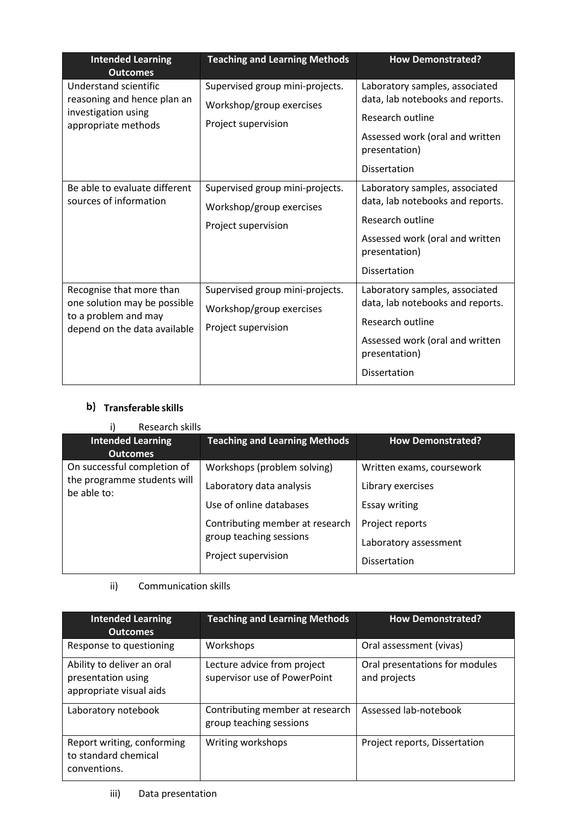| <b>Intended Learning</b><br><b>Outcomes</b>                                                                      | <b>Teaching and Learning Methods</b>                                               | <b>How Demonstrated?</b>                                                                                                                                          |
|------------------------------------------------------------------------------------------------------------------|------------------------------------------------------------------------------------|-------------------------------------------------------------------------------------------------------------------------------------------------------------------|
| Understand scientific<br>reasoning and hence plan an<br>investigation using<br>appropriate methods               | Supervised group mini-projects.<br>Workshop/group exercises<br>Project supervision | Laboratory samples, associated<br>data, lab notebooks and reports.<br>Research outline<br>Assessed work (oral and written<br>presentation)<br><b>Dissertation</b> |
| Be able to evaluate different<br>sources of information                                                          | Supervised group mini-projects.<br>Workshop/group exercises<br>Project supervision | Laboratory samples, associated<br>data, lab notebooks and reports.<br>Research outline<br>Assessed work (oral and written<br>presentation)<br><b>Dissertation</b> |
| Recognise that more than<br>one solution may be possible<br>to a problem and may<br>depend on the data available | Supervised group mini-projects.<br>Workshop/group exercises<br>Project supervision | Laboratory samples, associated<br>data, lab notebooks and reports.<br>Research outline<br>Assessed work (oral and written<br>presentation)<br>Dissertation        |

# **Transferable skills**

| Research skills                            |                                      |                           |
|--------------------------------------------|--------------------------------------|---------------------------|
| <b>Intended Learning</b>                   | <b>Teaching and Learning Methods</b> | <b>How Demonstrated?</b>  |
| <b>Outcomes</b>                            |                                      |                           |
| On successful completion of                | Workshops (problem solving)          | Written exams, coursework |
| the programme students will<br>be able to: | Laboratory data analysis             | Library exercises         |
|                                            | Use of online databases              | <b>Essay writing</b>      |
|                                            | Contributing member at research      | Project reports           |
|                                            | group teaching sessions              | Laboratory assessment     |
|                                            | Project supervision                  | <b>Dissertation</b>       |

# ii) Communication skills

| <b>Intended Learning</b><br><b>Outcomes</b>                                 | <b>Teaching and Learning Methods</b>                        | <b>How Demonstrated?</b>                       |
|-----------------------------------------------------------------------------|-------------------------------------------------------------|------------------------------------------------|
| Response to questioning                                                     | Workshops                                                   | Oral assessment (vivas)                        |
| Ability to deliver an oral<br>presentation using<br>appropriate visual aids | Lecture advice from project<br>supervisor use of PowerPoint | Oral presentations for modules<br>and projects |
| Laboratory notebook                                                         | Contributing member at research<br>group teaching sessions  | Assessed lab-notebook                          |
| Report writing, conforming<br>to standard chemical<br>conventions.          | Writing workshops                                           | Project reports, Dissertation                  |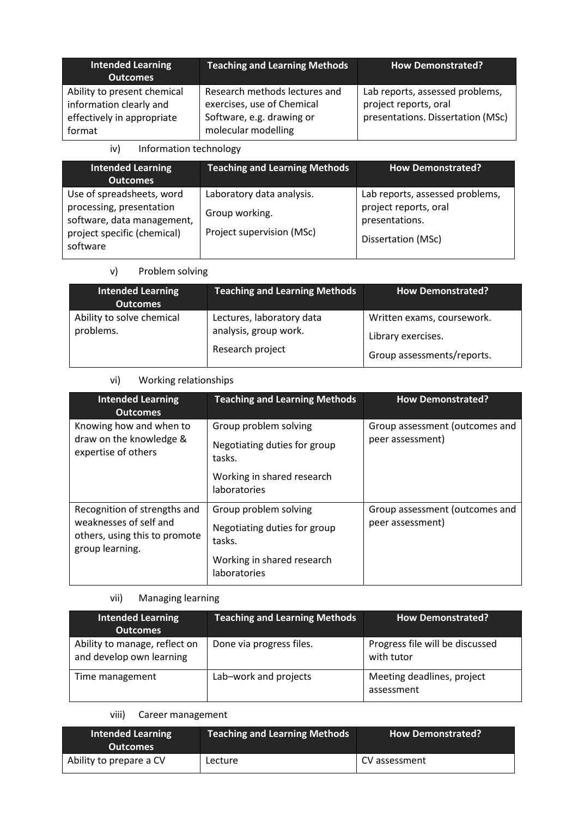| <b>Intended Learning</b><br><b>Outcomes</b>                                                    | <b>Teaching and Learning Methods</b>                                                                            | <b>How Demonstrated?</b>                                                                      |
|------------------------------------------------------------------------------------------------|-----------------------------------------------------------------------------------------------------------------|-----------------------------------------------------------------------------------------------|
| Ability to present chemical<br>information clearly and<br>effectively in appropriate<br>format | Research methods lectures and<br>exercises, use of Chemical<br>Software, e.g. drawing or<br>molecular modelling | Lab reports, assessed problems,<br>project reports, oral<br>presentations. Dissertation (MSc) |

iv) Information technology

| <b>Intended Learning</b><br><b>Outcomes</b>                                                                                    | <b>Teaching and Learning Methods</b>                                     | <b>How Demonstrated?</b>                                                                         |
|--------------------------------------------------------------------------------------------------------------------------------|--------------------------------------------------------------------------|--------------------------------------------------------------------------------------------------|
| Use of spreadsheets, word<br>processing, presentation<br>software, data management,<br>project specific (chemical)<br>software | Laboratory data analysis.<br>Group working.<br>Project supervision (MSc) | Lab reports, assessed problems,<br>project reports, oral<br>presentations.<br>Dissertation (MSc) |

v) Problem solving

| <b>Intended Learning</b><br><b>Outcomes</b> | <b>Teaching and Learning Methods</b>                                   | <b>How Demonstrated?</b>                                                       |
|---------------------------------------------|------------------------------------------------------------------------|--------------------------------------------------------------------------------|
| Ability to solve chemical<br>problems.      | Lectures, laboratory data<br>analysis, group work.<br>Research project | Written exams, coursework.<br>Library exercises.<br>Group assessments/reports. |

# vi) Working relationships

| <b>Intended Learning</b><br><b>Outcomes</b>                                                                                                  | <b>Teaching and Learning Methods</b>                                                                          | <b>How Demonstrated?</b>                           |
|----------------------------------------------------------------------------------------------------------------------------------------------|---------------------------------------------------------------------------------------------------------------|----------------------------------------------------|
| Knowing how and when to<br>Group problem solving<br>draw on the knowledge &<br>Negotiating duties for group<br>expertise of others<br>tasks. |                                                                                                               | Group assessment (outcomes and<br>peer assessment) |
|                                                                                                                                              | Working in shared research<br><b>laboratories</b>                                                             |                                                    |
| Recognition of strengths and<br>weaknesses of self and<br>others, using this to promote<br>group learning.                                   | Group problem solving<br>Negotiating duties for group<br>tasks.<br>Working in shared research<br>laboratories | Group assessment (outcomes and<br>peer assessment) |

# vii) Managing learning

| <b>Intended Learning</b><br><b>Outcomes</b>               | <b>Teaching and Learning Methods</b> | <b>How Demonstrated?</b>                      |
|-----------------------------------------------------------|--------------------------------------|-----------------------------------------------|
| Ability to manage, reflect on<br>and develop own learning | Done via progress files.             | Progress file will be discussed<br>with tutor |
| Time management                                           | Lab-work and projects                | Meeting deadlines, project<br>assessment      |

## viii) Career management

| Intended Learning<br><b>Outcomes</b> | <b>Teaching and Learning Methods</b> | <b>How Demonstrated?</b> |
|--------------------------------------|--------------------------------------|--------------------------|
| Ability to prepare a CV              | Lecture                              | CV assessment            |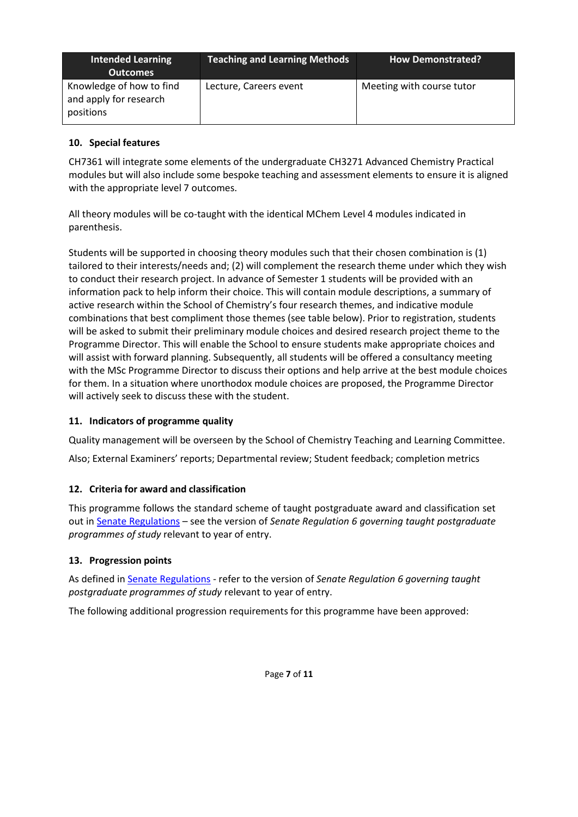| <b>Intended Learning</b><br><b>Outcomes</b>                     | <b>Teaching and Learning Methods</b> | <b>How Demonstrated?</b>  |
|-----------------------------------------------------------------|--------------------------------------|---------------------------|
| Knowledge of how to find<br>and apply for research<br>positions | Lecture, Careers event               | Meeting with course tutor |

## **10. Special features**

CH7361 will integrate some elements of the undergraduate CH3271 Advanced Chemistry Practical modules but will also include some bespoke teaching and assessment elements to ensure it is aligned with the appropriate level 7 outcomes.

All theory modules will be co-taught with the identical MChem Level 4 modules indicated in parenthesis.

Students will be supported in choosing theory modules such that their chosen combination is (1) tailored to their interests/needs and; (2) will complement the research theme under which they wish to conduct their research project. In advance of Semester 1 students will be provided with an information pack to help inform their choice. This will contain module descriptions, a summary of active research within the School of Chemistry's four research themes, and indicative module combinations that best compliment those themes (see table below). Prior to registration, students will be asked to submit their preliminary module choices and desired research project theme to the Programme Director. This will enable the School to ensure students make appropriate choices and will assist with forward planning. Subsequently, all students will be offered a consultancy meeting with the MSc Programme Director to discuss their options and help arrive at the best module choices for them. In a situation where unorthodox module choices are proposed, the Programme Director will actively seek to discuss these with the student.

## **11. Indicators of programme quality**

Quality management will be overseen by the School of Chemistry Teaching and Learning Committee.

Also; External Examiners' reports; Departmental review; Student feedback; completion metrics

## **12. Criteria for award and classification**

This programme follows the standard scheme of taught postgraduate award and classification set out i[n Senate Regulations](http://www.le.ac.uk/senate-regulations) – see the version of *Senate Regulation 6 governing taught postgraduate programmes of study* relevant to year of entry.

## **13. Progression points**

As defined i[n Senate Regulations](http://www.le.ac.uk/senate-regulation6) - refer to the version of *Senate Regulation 6 governing taught postgraduate programmes of study* relevant to year of entry.

The following additional progression requirements for this programme have been approved: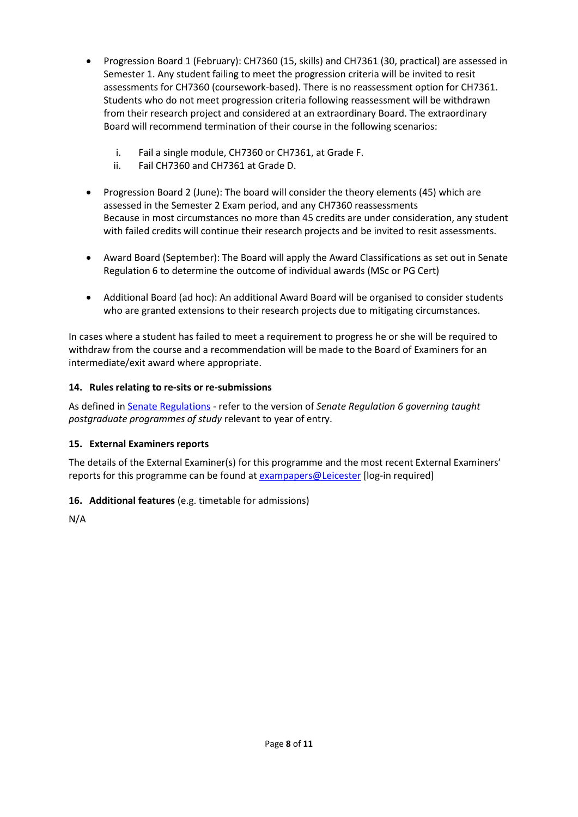- Progression Board 1 (February): CH7360 (15, skills) and CH7361 (30, practical) are assessed in Semester 1. Any student failing to meet the progression criteria will be invited to resit assessments for CH7360 (coursework-based). There is no reassessment option for CH7361. Students who do not meet progression criteria following reassessment will be withdrawn from their research project and considered at an extraordinary Board. The extraordinary Board will recommend termination of their course in the following scenarios:
	- i. Fail a single module, CH7360 or CH7361, at Grade F.
	- ii. Fail CH7360 and CH7361 at Grade D.
- Progression Board 2 (June): The board will consider the theory elements (45) which are assessed in the Semester 2 Exam period, and any CH7360 reassessments Because in most circumstances no more than 45 credits are under consideration, any student with failed credits will continue their research projects and be invited to resit assessments.
- Award Board (September): The Board will apply the Award Classifications as set out in Senate Regulation 6 to determine the outcome of individual awards (MSc or PG Cert)
- Additional Board (ad hoc): An additional Award Board will be organised to consider students who are granted extensions to their research projects due to mitigating circumstances.

In cases where a student has failed to meet a requirement to progress he or she will be required to withdraw from the course and a recommendation will be made to the Board of Examiners for an intermediate/exit award where appropriate.

## **14. Rules relating to re-sits or re-submissions**

As defined i[n Senate Regulations](http://www.le.ac.uk/senate-regulation6) - refer to the version of *Senate Regulation 6 governing taught postgraduate programmes of study* relevant to year of entry.

## **15. External Examiners reports**

The details of the External Examiner(s) for this programme and the most recent External Examiners' reports for this programme can be found at [exampapers@Leicester](https://exampapers.le.ac.uk/) [log-in required]

## **16. Additional features** (e.g. timetable for admissions)

N/A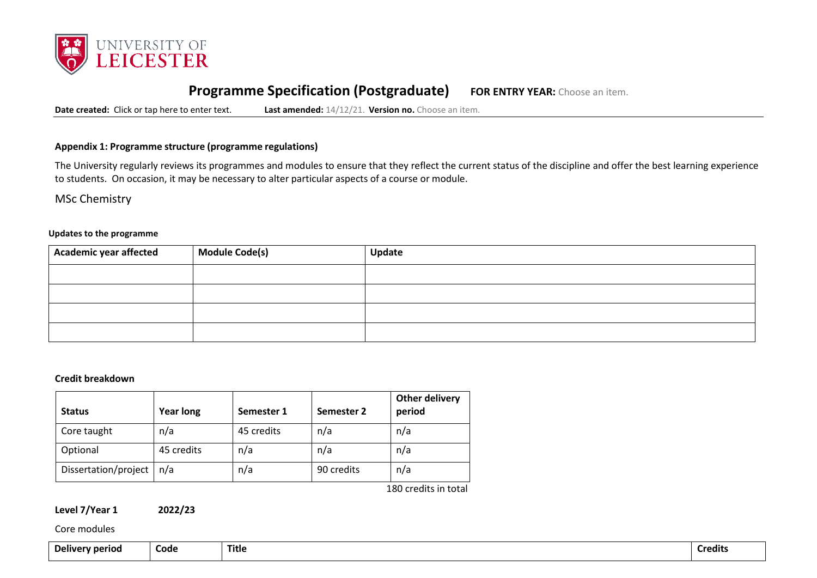

# **Programme Specification (Postgraduate) FOR ENTRY YEAR:** Choose an item.

**Date created:** Click or tap here to enter text. **Last amended:** 14/12/21. **Version no.** Choose an item.

#### **Appendix 1: Programme structure (programme regulations)**

The University regularly reviews its programmes and modules to ensure that they reflect the current status of the discipline and offer the best learning experience to students. On occasion, it may be necessary to alter particular aspects of a course or module.

MSc Chemistry

#### **Updates to the programme**

| Academic year affected | Module Code(s) | Update |
|------------------------|----------------|--------|
|                        |                |        |
|                        |                |        |
|                        |                |        |
|                        |                |        |

#### **Credit breakdown**

| <b>Status</b>        | <b>Year long</b> | Semester 1 | Semester 2 | <b>Other delivery</b><br>period |
|----------------------|------------------|------------|------------|---------------------------------|
| Core taught          | n/a              | 45 credits | n/a        | n/a                             |
| Optional             | 45 credits       | n/a        | n/a        | n/a                             |
| Dissertation/project | n/a              | n/a        | 90 credits | n/a                             |

180 credits in total

| Level 7/Year 1 | 2022/23 |
|----------------|---------|
|----------------|---------|

Core modules

**Delivery period Code Title Credits**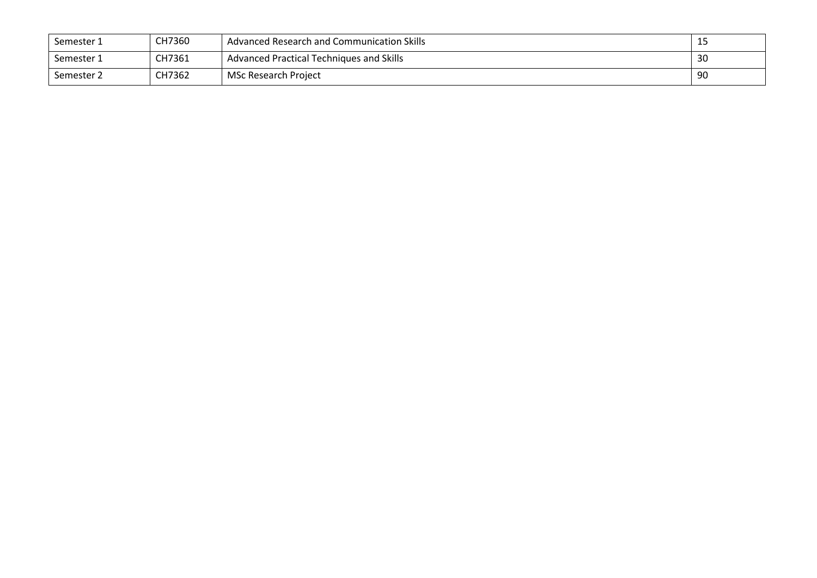| Semester 1 | CH7360 | Advanced Research and Communication Skills | -- |
|------------|--------|--------------------------------------------|----|
| Semester 1 | CH7361 | Advanced Practical Techniques and Skills   | 30 |
| Semester 2 | CH7362 | MSc Research Project                       | 90 |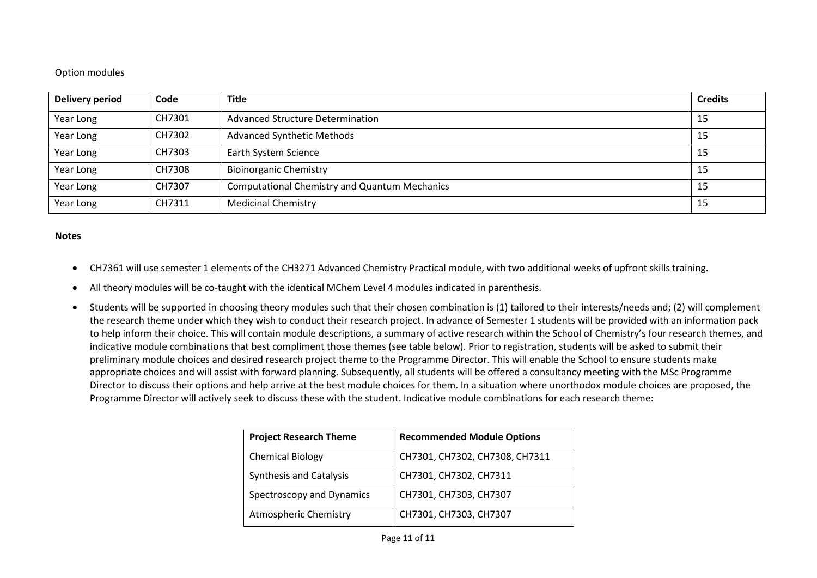## Option modules

| Delivery period | Code   | <b>Title</b>                                         | <b>Credits</b> |
|-----------------|--------|------------------------------------------------------|----------------|
| Year Long       | CH7301 | <b>Advanced Structure Determination</b>              | 15             |
| Year Long       | CH7302 | <b>Advanced Synthetic Methods</b>                    | 15             |
| Year Long       | CH7303 | Earth System Science                                 | 15             |
| Year Long       | CH7308 | <b>Bioinorganic Chemistry</b>                        | 15             |
| Year Long       | CH7307 | <b>Computational Chemistry and Quantum Mechanics</b> | 15             |
| Year Long       | CH7311 | <b>Medicinal Chemistry</b>                           | 15             |

#### **Notes**

- CH7361 will use semester 1 elements of the CH3271 Advanced Chemistry Practical module, with two additional weeks of upfront skills training.
- All theory modules will be co-taught with the identical MChem Level 4 modules indicated in parenthesis.
- Students will be supported in choosing theory modules such that their chosen combination is (1) tailored to their interests/needs and; (2) will complement the research theme under which they wish to conduct their research project. In advance of Semester 1 students will be provided with an information pack to help inform their choice. This will contain module descriptions, a summary of active research within the School of Chemistry's four research themes, and indicative module combinations that best compliment those themes (see table below). Prior to registration, students will be asked to submit their preliminary module choices and desired research project theme to the Programme Director. This will enable the School to ensure students make appropriate choices and will assist with forward planning. Subsequently, all students will be offered a consultancy meeting with the MSc Programme Director to discuss their options and help arrive at the best module choices for them. In a situation where unorthodox module choices are proposed, the Programme Director will actively seek to discuss these with the student. Indicative module combinations for each research theme:

| <b>Project Research Theme</b>  | <b>Recommended Module Options</b> |
|--------------------------------|-----------------------------------|
| <b>Chemical Biology</b>        | CH7301, CH7302, CH7308, CH7311    |
| <b>Synthesis and Catalysis</b> | CH7301, CH7302, CH7311            |
| Spectroscopy and Dynamics      | CH7301, CH7303, CH7307            |
| Atmospheric Chemistry          | CH7301, CH7303, CH7307            |